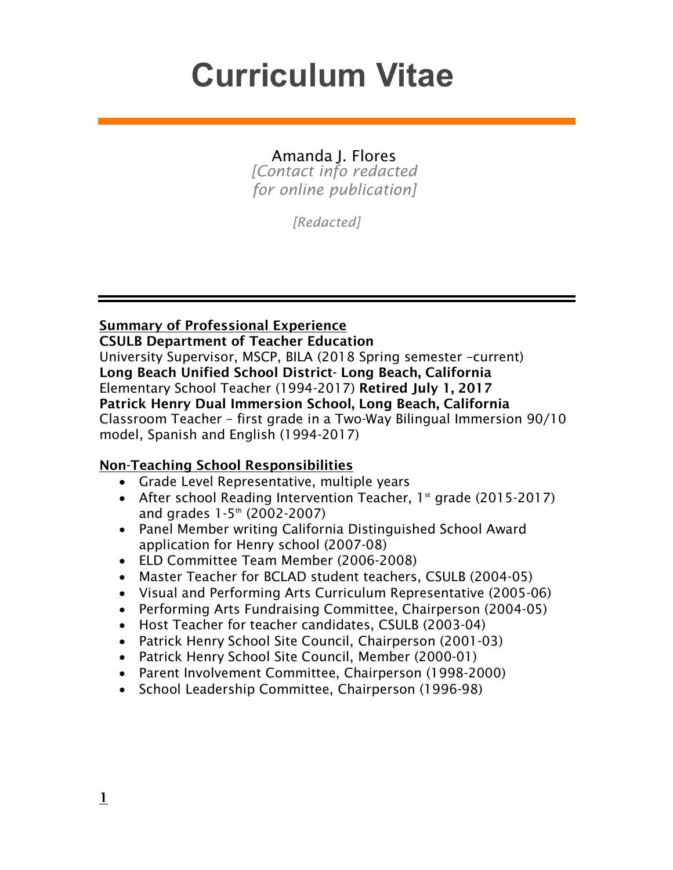# **Curriculum Vitae**

# Amanda J. Flores

*[Contact info redacted for online publication]*

*[Redacted]*

Summary of Professional Experience

CSULB Department of Teacher Education University Supervisor, MSCP, BILA (2018 Spring semester –current) Long Beach Unified School District- Long Beach, California Elementary School Teacher (1994-2017) Retired July 1, 2017 Patrick Henry Dual Immersion School, Long Beach, California Classroom Teacher – first grade in a Two-Way Bilingual Immersion 90/10 model, Spanish and English (1994-2017)

#### Non-Teaching School Responsibilities

- Grade Level Representative, multiple years
- After school Reading Intervention Teacher,  $1<sup>st</sup>$  grade (2015-2017) and grades 1-5<sup>th</sup> (2002-2007)
- Panel Member writing California Distinguished School Award application for Henry school (2007-08)
- ELD Committee Team Member (2006-2008)
- Master Teacher for BCLAD student teachers, CSULB (2004-05)
- Visual and Performing Arts Curriculum Representative (2005-06)
- Performing Arts Fundraising Committee, Chairperson (2004-05)
- Host Teacher for teacher candidates, CSULB (2003-04)
- Patrick Henry School Site Council, Chairperson (2001-03)
- Patrick Henry School Site Council, Member (2000-01)
- Parent Involvement Committee, Chairperson (1998-2000)
- School Leadership Committee, Chairperson (1996-98)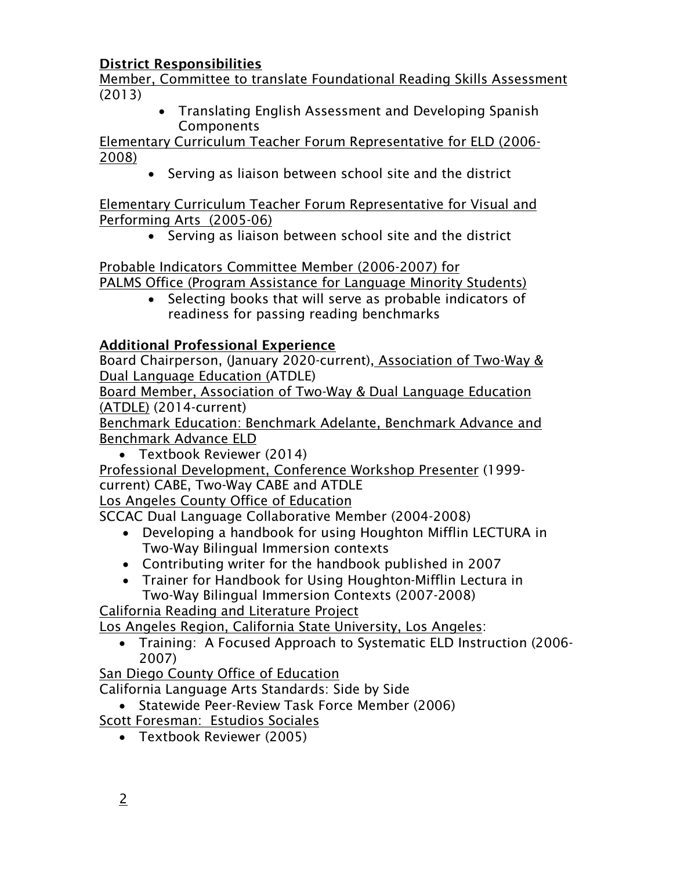## District Responsibilities

Member, Committee to translate Foundational Reading Skills Assessment (2013)

• Translating English Assessment and Developing Spanish **Components** 

Elementary Curriculum Teacher Forum Representative for ELD (2006- 2008)

• Serving as liaison between school site and the district

Elementary Curriculum Teacher Forum Representative for Visual and Performing Arts (2005-06)

• Serving as liaison between school site and the district

Probable Indicators Committee Member (2006-2007) for PALMS Office (Program Assistance for Language Minority Students)

• Selecting books that will serve as probable indicators of readiness for passing reading benchmarks

## Additional Professional Experience

Board Chairperson, (January 2020-current), Association of Two-Way & Dual Language Education (ATDLE)

Board Member, Association of Two-Way & Dual Language Education (ATDLE) (2014-current)

Benchmark Education: Benchmark Adelante, Benchmark Advance and Benchmark Advance ELD

• Textbook Reviewer (2014)

Professional Development, Conference Workshop Presenter (1999 current) CABE, Two-Way CABE and ATDLE

Los Angeles County Office of Education

SCCAC Dual Language Collaborative Member (2004-2008)

- Developing a handbook for using Houghton Mifflin LECTURA in Two-Way Bilingual Immersion contexts
- Contributing writer for the handbook published in 2007
- Trainer for Handbook for Using Houghton-Mifflin Lectura in Two-Way Bilingual Immersion Contexts (2007-2008)

California Reading and Literature Project

Los Angeles Region, California State University, Los Angeles:

• Training: A Focused Approach to Systematic ELD Instruction (2006- 2007)

San Diego County Office of Education

California Language Arts Standards: Side by Side

- Statewide Peer-Review Task Force Member (2006)
- Scott Foresman: Estudios Sociales
	- Textbook Reviewer (2005)